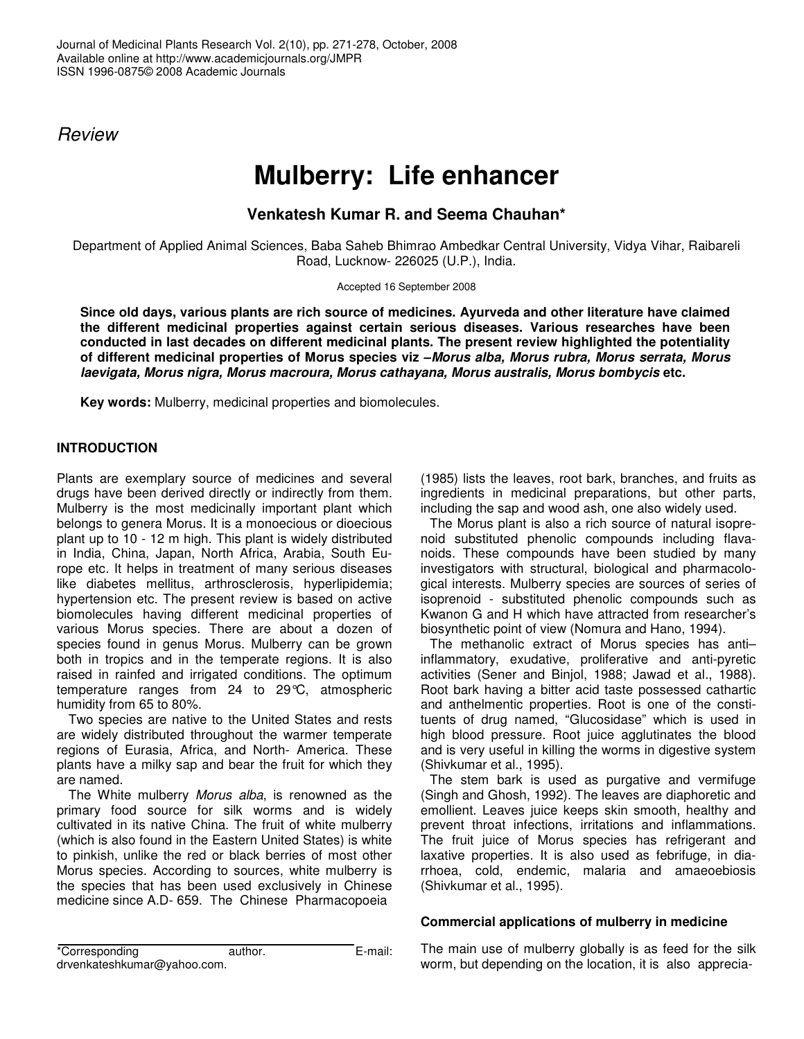*Review*

# **Mulberry: Life enhancer**

**Venkatesh Kumar R. and Seema Chauhan\***

Department of Applied Animal Sciences, Baba Saheb Bhimrao Ambedkar Central University, Vidya Vihar, Raibareli Road, Lucknow- 226025 (U.P.), India.

Accepted 16 September 2008

**Since old days, various plants are rich source of medicines. Ayurveda and other literature have claimed the different medicinal properties against certain serious diseases. Various researches have been conducted in last decades on different medicinal plants. The present review highlighted the potentiality of different medicinal properties of Morus species viz –***Morus alba, Morus rubra, Morus serrata, Morus laevigata, Morus nigra, Morus macroura, Morus cathayana, Morus australis, Morus bombycis* **etc.**

**Key words:** Mulberry, medicinal properties and biomolecules.

# **INTRODUCTION**

Plants are exemplary source of medicines and several drugs have been derived directly or indirectly from them. Mulberry is the most medicinally important plant which belongs to genera Morus. It is a monoecious or dioecious plant up to 10 - 12 m high. This plant is widely distributed in India, China, Japan, North Africa, Arabia, South Europe etc. It helps in treatment of many serious diseases like diabetes mellitus, arthrosclerosis, hyperlipidemia; hypertension etc. The present review is based on active biomolecules having different medicinal properties of various Morus species. There are about a dozen of species found in genus Morus. Mulberry can be grown both in tropics and in the temperate regions. It is also raised in rainfed and irrigated conditions. The optimum temperature ranges from 24 to 29°C, atmospheric humidity from 65 to 80%.

Two species are native to the United States and rests are widely distributed throughout the warmer temperate regions of Eurasia, Africa, and North- America. These plants have a milky sap and bear the fruit for which they are named.

The White mulberry *Morus alba*, is renowned as the primary food source for silk worms and is widely cultivated in its native China. The fruit of white mulberry (which is also found in the Eastern United States) is white to pinkish, unlike the red or black berries of most other Morus species. According to sources, white mulberry is the species that has been used exclusively in Chinese medicine since A.D- 659. The Chinese Pharmacopoeia

(1985) lists the leaves, root bark, branches, and fruits as ingredients in medicinal preparations, but other parts, including the sap and wood ash, one also widely used.

The Morus plant is also a rich source of natural isoprenoid substituted phenolic compounds including flavanoids. These compounds have been studied by many investigators with structural, biological and pharmacological interests. Mulberry species are sources of series of isoprenoid - substituted phenolic compounds such as Kwanon G and H which have attracted from researcher's biosynthetic point of view (Nomura and Hano, 1994).

The methanolic extract of Morus species has anti– inflammatory, exudative, proliferative and anti-pyretic activities (Sener and Binjol, 1988; Jawad et al., 1988). Root bark having a bitter acid taste possessed cathartic and anthelmentic properties. Root is one of the constituents of drug named, "Glucosidase" which is used in high blood pressure. Root juice agglutinates the blood and is very useful in killing the worms in digestive system (Shivkumar et al., 1995).

The stem bark is used as purgative and vermifuge (Singh and Ghosh, 1992). The leaves are diaphoretic and emollient. Leaves juice keeps skin smooth, healthy and prevent throat infections, irritations and inflammations. The fruit juice of Morus species has refrigerant and laxative properties. It is also used as febrifuge, in diarrhoea, cold, endemic, malaria and amaeoebiosis (Shivkumar et al., 1995).

# **Commercial applications of mulberry in medicine**

The main use of mulberry globally is as feed for the silk worm, but depending on the location, it is also apprecia-

| *Corresponding              | author. | E-mail: |
|-----------------------------|---------|---------|
| drvenkateshkumar@yahoo.com. |         |         |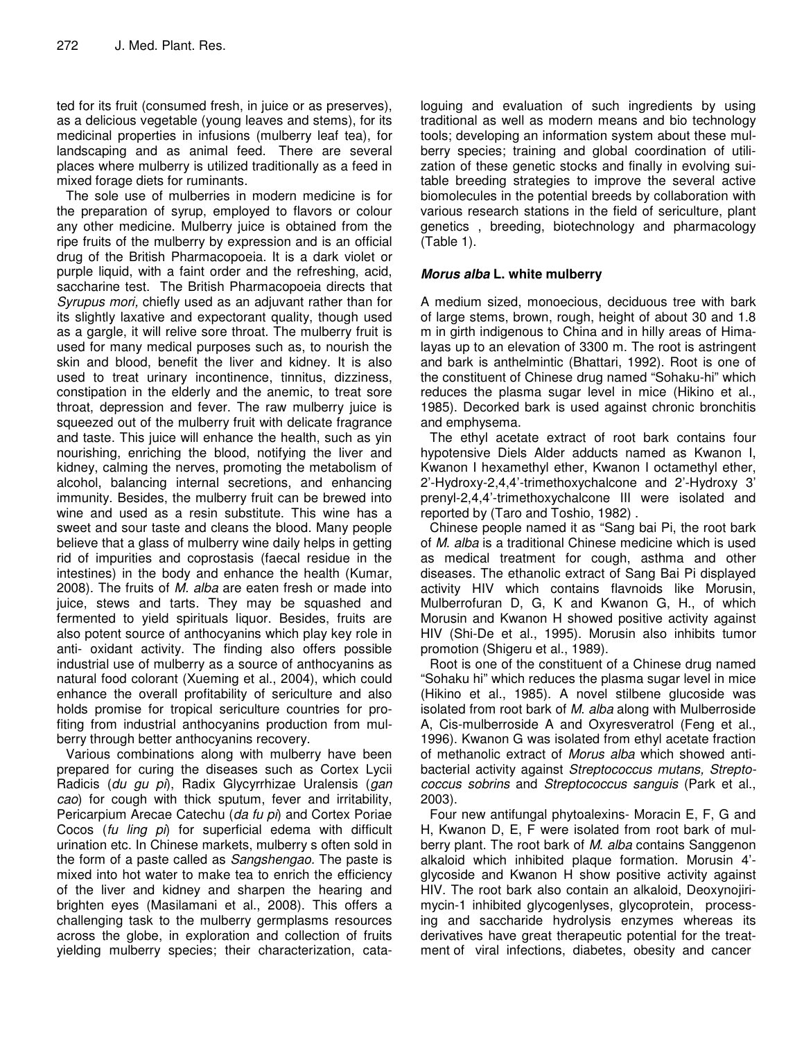ted for its fruit (consumed fresh, in juice or as preserves), as a delicious vegetable (young leaves and stems), for its medicinal properties in infusions (mulberry leaf tea), for landscaping and as animal feed. There are several places where mulberry is utilized traditionally as a feed in mixed forage diets for ruminants.

The sole use of mulberries in modern medicine is for the preparation of syrup, employed to flavors or colour any other medicine. Mulberry juice is obtained from the ripe fruits of the mulberry by expression and is an official drug of the British Pharmacopoeia. It is a dark violet or purple liquid, with a faint order and the refreshing, acid, saccharine test. The British Pharmacopoeia directs that *Syrupus mori,* chiefly used as an adjuvant rather than for its slightly laxative and expectorant quality, though used as a gargle, it will relive sore throat. The mulberry fruit is used for many medical purposes such as, to nourish the skin and blood, benefit the liver and kidney. It is also used to treat urinary incontinence, tinnitus, dizziness, constipation in the elderly and the anemic, to treat sore throat, depression and fever. The raw mulberry juice is squeezed out of the mulberry fruit with delicate fragrance and taste. This juice will enhance the health, such as yin nourishing, enriching the blood, notifying the liver and kidney, calming the nerves, promoting the metabolism of alcohol, balancing internal secretions, and enhancing immunity. Besides, the mulberry fruit can be brewed into wine and used as a resin substitute. This wine has a sweet and sour taste and cleans the blood. Many people believe that a glass of mulberry wine daily helps in getting rid of impurities and coprostasis (faecal residue in the intestines) in the body and enhance the health (Kumar, 2008). The fruits of *M. alba* are eaten fresh or made into juice, stews and tarts. They may be squashed and fermented to yield spirituals liquor. Besides, fruits are also potent source of anthocyanins which play key role in anti- oxidant activity. The finding also offers possible industrial use of mulberry as a source of anthocyanins as natural food colorant (Xueming et al., 2004), which could enhance the overall profitability of sericulture and also holds promise for tropical sericulture countries for profiting from industrial anthocyanins production from mulberry through better anthocyanins recovery.

Various combinations along with mulberry have been prepared for curing the diseases such as Cortex Lycii Radicis (*du gu pi*), Radix Glycyrrhizae Uralensis (*gan cao*) for cough with thick sputum, fever and irritability, Pericarpium Arecae Catechu (*da fu pi*) and Cortex Poriae Cocos (*fu ling pi*) for superficial edema with difficult urination etc. In Chinese markets, mulberry s often sold in the form of a paste called as *Sangshengao.* The paste is mixed into hot water to make tea to enrich the efficiency of the liver and kidney and sharpen the hearing and brighten eyes (Masilamani et al., 2008). This offers a challenging task to the mulberry germplasms resources across the globe, in exploration and collection of fruits yielding mulberry species; their characterization, cataloguing and evaluation of such ingredients by using traditional as well as modern means and bio technology tools; developing an information system about these mulberry species; training and global coordination of utilization of these genetic stocks and finally in evolving suitable breeding strategies to improve the several active biomolecules in the potential breeds by collaboration with various research stations in the field of sericulture, plant genetics , breeding, biotechnology and pharmacology (Table 1).

## *Morus alba* **L. white mulberry**

A medium sized, monoecious, deciduous tree with bark of large stems, brown, rough, height of about 30 and 1.8 m in girth indigenous to China and in hilly areas of Himalayas up to an elevation of 3300 m. The root is astringent and bark is anthelmintic (Bhattari, 1992). Root is one of the constituent of Chinese drug named "Sohaku-hi" which reduces the plasma sugar level in mice (Hikino et al., 1985). Decorked bark is used against chronic bronchitis and emphysema.

The ethyl acetate extract of root bark contains four hypotensive Diels Alder adducts named as Kwanon I, Kwanon I hexamethyl ether, Kwanon I octamethyl ether, 2'-Hydroxy-2,4,4'-trimethoxychalcone and 2'-Hydroxy 3' prenyl-2,4,4'-trimethoxychalcone III were isolated and reported by (Taro and Toshio, 1982) .

Chinese people named it as "Sang bai Pi, the root bark of *M*. *alba* is a traditional Chinese medicine which is used as medical treatment for cough, asthma and other diseases. The ethanolic extract of Sang Bai Pi displayed activity HIV which contains flavnoids like Morusin, Mulberrofuran D, G, K and Kwanon G, H., of which Morusin and Kwanon H showed positive activity against HIV (Shi-De et al., 1995). Morusin also inhibits tumor promotion (Shigeru et al., 1989).

Root is one of the constituent of a Chinese drug named "Sohaku hi" which reduces the plasma sugar level in mice (Hikino et al., 1985). A novel stilbene glucoside was isolated from root bark of *M*. *alba* along with Mulberroside A, Cis-mulberroside A and Oxyresveratrol (Feng et al., 1996). Kwanon G was isolated from ethyl acetate fraction of methanolic extract of *Morus alba* which showed antibacterial activity against *Streptococcus mutans, Streptococcus sobrins* and *Streptococcus sanguis* (Park et al., 2003).

Four new antifungal phytoalexins- Moracin E, F, G and H, Kwanon D, E, F were isolated from root bark of mulberry plant. The root bark of *M*. *alba* contains Sanggenon alkaloid which inhibited plaque formation. Morusin 4' glycoside and Kwanon H show positive activity against HIV. The root bark also contain an alkaloid, Deoxynojirimycin-1 inhibited glycogenlyses, glycoprotein, processing and saccharide hydrolysis enzymes whereas its derivatives have great therapeutic potential for the treatment of viral infections, diabetes, obesity and cancer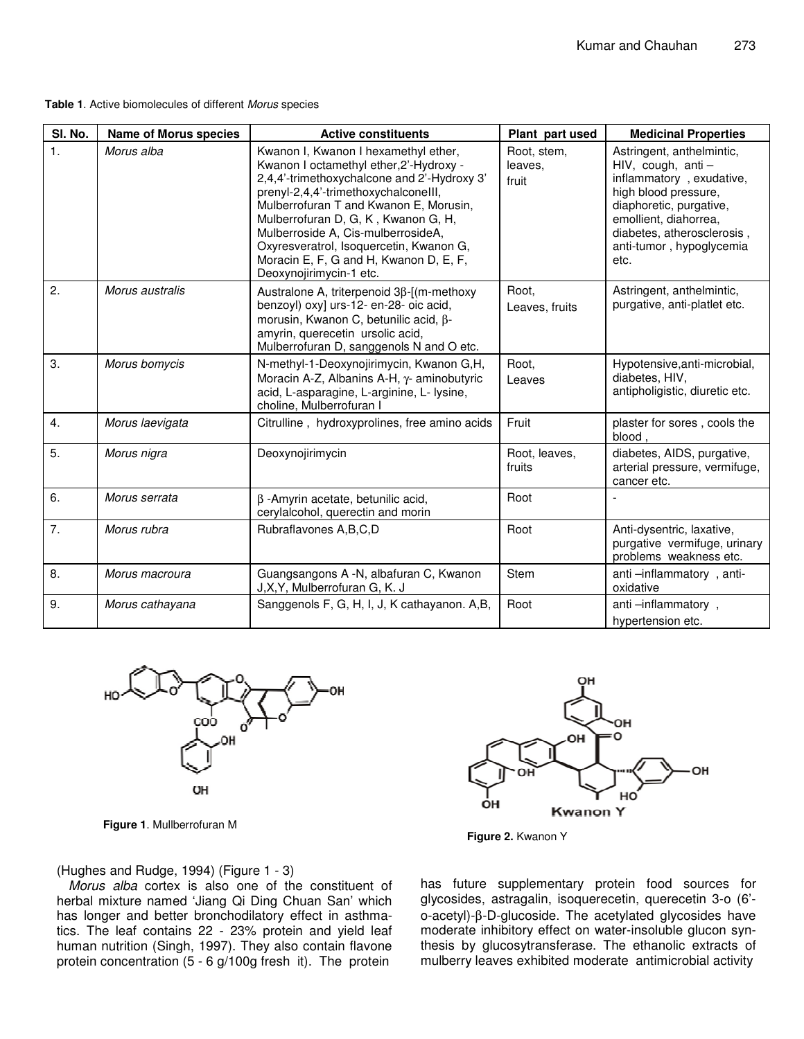#### **Table 1**. Active biomolecules of different *Morus* species

| SI. No.        | <b>Name of Morus species</b> | <b>Active constituents</b>                                                                                                                                                                                                                                                                                                                                                                                    | Plant part used                 | <b>Medicinal Properties</b>                                                                                                                                                                                                 |
|----------------|------------------------------|---------------------------------------------------------------------------------------------------------------------------------------------------------------------------------------------------------------------------------------------------------------------------------------------------------------------------------------------------------------------------------------------------------------|---------------------------------|-----------------------------------------------------------------------------------------------------------------------------------------------------------------------------------------------------------------------------|
| 1.             | Morus alba                   | Kwanon I, Kwanon I hexamethyl ether,<br>Kwanon I octamethyl ether, 2'-Hydroxy -<br>2,4,4'-trimethoxychalcone and 2'-Hydroxy 3'<br>prenyl-2,4,4'-trimethoxychalconelll,<br>Mulberrofuran T and Kwanon E, Morusin,<br>Mulberrofuran D, G, K, Kwanon G, H,<br>Mulberroside A, Cis-mulberrosideA,<br>Oxyresveratrol, Isoquercetin, Kwanon G,<br>Moracin E, F, G and H, Kwanon D, E, F,<br>Deoxynojirimycin-1 etc. | Root, stem,<br>leaves,<br>fruit | Astringent, anthelmintic,<br>HIV, cough, anti $-$<br>inflammatory, exudative,<br>high blood pressure,<br>diaphoretic, purgative,<br>emollient, diahorrea,<br>diabetes, atherosclerosis,<br>anti-tumor, hypoglycemia<br>etc. |
| 2.             | Morus australis              | Australone A, triterpenoid 3β-[(m-methoxy<br>benzoyl) oxy] urs-12- en-28- oic acid,<br>morusin, Kwanon C, betunilic acid, β-<br>amyrin, querecetin ursolic acid,<br>Mulberrofuran D, sanggenols N and O etc.                                                                                                                                                                                                  | Root,<br>Leaves, fruits         | Astringent, anthelmintic,<br>purgative, anti-platlet etc.                                                                                                                                                                   |
| 3.             | Morus bomycis                | N-methyl-1-Deoxynojirimycin, Kwanon G,H,<br>Moracin A-Z, Albanins A-H, y- aminobutyric<br>acid, L-asparagine, L-arginine, L- lysine,<br>choline, Mulberrofuran I                                                                                                                                                                                                                                              | Root,<br>Leaves                 | Hypotensive, anti-microbial,<br>diabetes, HIV,<br>antipholigistic, diuretic etc.                                                                                                                                            |
| 4.             | Morus laevigata              | Citrulline, hydroxyprolines, free amino acids                                                                                                                                                                                                                                                                                                                                                                 | Fruit                           | plaster for sores, cools the<br>blood,                                                                                                                                                                                      |
| 5.             | Morus nigra                  | Deoxynojirimycin                                                                                                                                                                                                                                                                                                                                                                                              | Root, leaves,<br>fruits         | diabetes, AIDS, purgative,<br>arterial pressure, vermifuge,<br>cancer etc.                                                                                                                                                  |
| 6.             | Morus serrata                | $\beta$ -Amyrin acetate, betunilic acid,<br>cerylalcohol, querectin and morin                                                                                                                                                                                                                                                                                                                                 | Root                            |                                                                                                                                                                                                                             |
| 7 <sub>1</sub> | Morus rubra                  | Rubraflavones A, B, C, D                                                                                                                                                                                                                                                                                                                                                                                      | Root                            | Anti-dysentric, laxative,<br>purgative vermifuge, urinary<br>problems weakness etc.                                                                                                                                         |
| 8.             | Morus macroura               | Guangsangons A -N, albafuran C, Kwanon<br>J, X, Y, Mulberrofuran G, K. J                                                                                                                                                                                                                                                                                                                                      | Stem                            | anti-inflammatory, anti-<br>oxidative                                                                                                                                                                                       |
| 9.             | Morus cathayana              | Sanggenols F, G, H, I, J, K cathayanon. A,B,                                                                                                                                                                                                                                                                                                                                                                  | Root                            | anti-inflammatory,<br>hypertension etc.                                                                                                                                                                                     |



**Figure 1**. Mullberrofuran M





(Hughes and Rudge, 1994) (Figure 1 - 3)

*Morus alba* cortex is also one of the constituent of herbal mixture named 'Jiang Qi Ding Chuan San' which has longer and better bronchodilatory effect in asthmatics. The leaf contains 22 - 23% protein and yield leaf human nutrition (Singh, 1997). They also contain flavone protein concentration (5 - 6 g/100g fresh it). The protein

has future supplementary protein food sources for glycosides, astragalin, isoquerecetin, querecetin 3-o (6' o-acetyl)-β-D-glucoside. The acetylated glycosides have moderate inhibitory effect on water-insoluble glucon synthesis by glucosytransferase. The ethanolic extracts of mulberry leaves exhibited moderate antimicrobial activity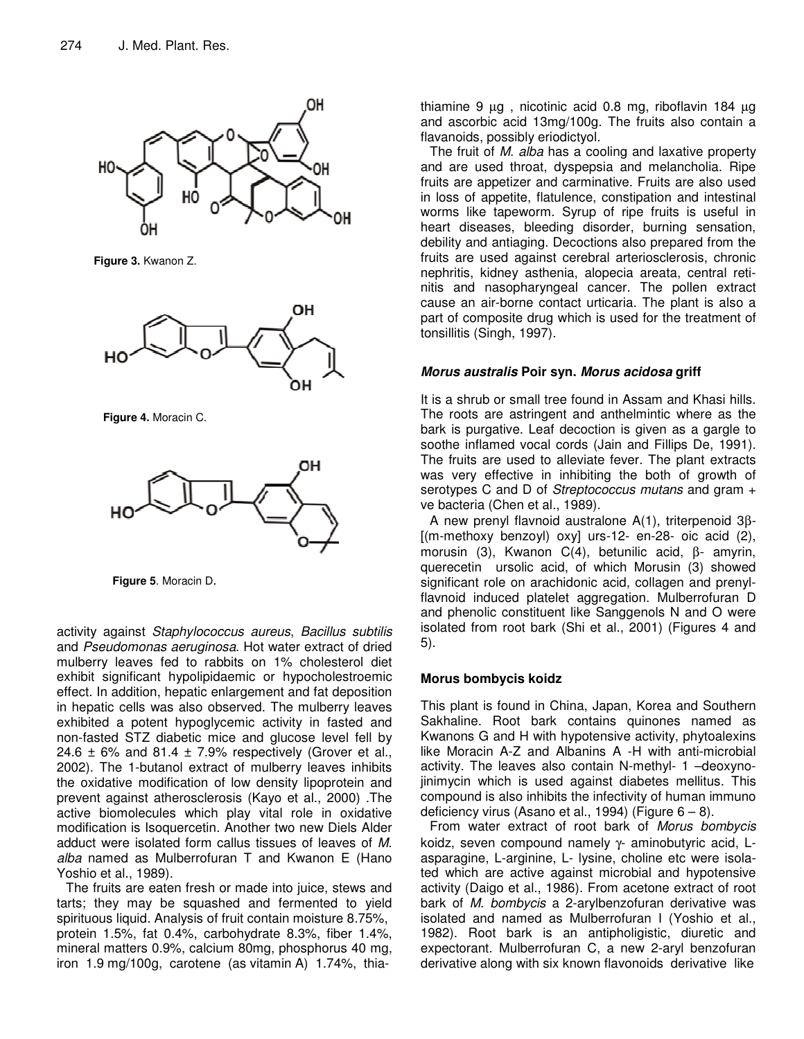

**Figure 3.** Kwanon Z.



**Figure 4.** Moracin C.



**Figure 5**. Moracin D.

activity against *Staphylococcus aureus*, *Bacillus subtilis* and *Pseudomonas aeruginosa*. Hot water extract of dried mulberry leaves fed to rabbits on 1% cholesterol diet exhibit significant hypolipidaemic or hypocholestroemic effect. In addition, hepatic enlargement and fat deposition in hepatic cells was also observed. The mulberry leaves exhibited a potent hypoglycemic activity in fasted and non-fasted STZ diabetic mice and glucose level fell by 24.6  $\pm$  6% and 81.4  $\pm$  7.9% respectively (Grover et al., 2002). The 1-butanol extract of mulberry leaves inhibits the oxidative modification of low density lipoprotein and prevent against atherosclerosis (Kayo et al., 2000) .The active biomolecules which play vital role in oxidative modification is Isoquercetin. Another two new Diels Alder adduct were isolated form callus tissues of leaves of *M*. *alba* named as Mulberrofuran T and Kwanon E (Hano Yoshio et al., 1989).

The fruits are eaten fresh or made into juice, stews and tarts; they may be squashed and fermented to yield spirituous liquid. Analysis of fruit contain moisture 8.75%, protein 1.5%, fat 0.4%, carbohydrate 8.3%, fiber 1.4%, mineral matters 0.9%, calcium 80mg, phosphorus 40 mg, iron 1.9 mg/100g, carotene (as vitamin A) 1.74%, thiathiamine 9 µg , nicotinic acid 0.8 mg, riboflavin 184 µg and ascorbic acid 13mg/100g. The fruits also contain a flavanoids, possibly eriodictyol.

The fruit of *M*. *alba* has a cooling and laxative property and are used throat, dyspepsia and melancholia. Ripe fruits are appetizer and carminative. Fruits are also used in loss of appetite, flatulence, constipation and intestinal worms like tapeworm. Syrup of ripe fruits is useful in heart diseases, bleeding disorder, burning sensation, debility and antiaging. Decoctions also prepared from the fruits are used against cerebral arteriosclerosis, chronic nephritis, kidney asthenia, alopecia areata, central retinitis and nasopharyngeal cancer. The pollen extract cause an air-borne contact urticaria. The plant is also a part of composite drug which is used for the treatment of tonsillitis (Singh, 1997).

# *Morus australis* **Poir syn.** *Morus acidosa* **griff**

It is a shrub or small tree found in Assam and Khasi hills. The roots are astringent and anthelmintic where as the bark is purgative. Leaf decoction is given as a gargle to soothe inflamed vocal cords (Jain and Fillips De, 1991). The fruits are used to alleviate fever. The plant extracts was very effective in inhibiting the both of growth of serotypes C and D of *Streptococcus mutans* and gram + ve bacteria (Chen et al., 1989).

A new prenyl flavnoid australone A(1), triterpenoid 3β- [(m-methoxy benzoyl) oxy] urs-12- en-28- oic acid (2), morusin (3), Kwanon C(4), betunilic acid, β- amyrin, querecetin ursolic acid, of which Morusin (3) showed significant role on arachidonic acid, collagen and prenylflavnoid induced platelet aggregation. Mulberrofuran D and phenolic constituent like Sanggenols N and O were isolated from root bark (Shi et al., 2001) (Figures 4 and 5).

# **Morus bombycis koidz**

This plant is found in China, Japan, Korea and Southern Sakhaline. Root bark contains quinones named as Kwanons G and H with hypotensive activity, phytoalexins like Moracin A-Z and Albanins A -H with anti-microbial activity. The leaves also contain N-methyl- 1 –deoxynojinimycin which is used against diabetes mellitus. This compound is also inhibits the infectivity of human immuno deficiency virus (Asano et al., 1994) (Figure  $6-8$ ).

From water extract of root bark of *Morus bombycis* koidz, seven compound namely γ- aminobutyric acid, Lasparagine, L-arginine, L- lysine, choline etc were isolated which are active against microbial and hypotensive activity (Daigo et al., 1986). From acetone extract of root bark of *M*. *bombycis* a 2-arylbenzofuran derivative was isolated and named as Mulberrofuran I (Yoshio et al., 1982). Root bark is an antipholigistic, diuretic and expectorant. Mulberrofuran C, a new 2-aryl benzofuran derivative along with six known flavonoids derivative like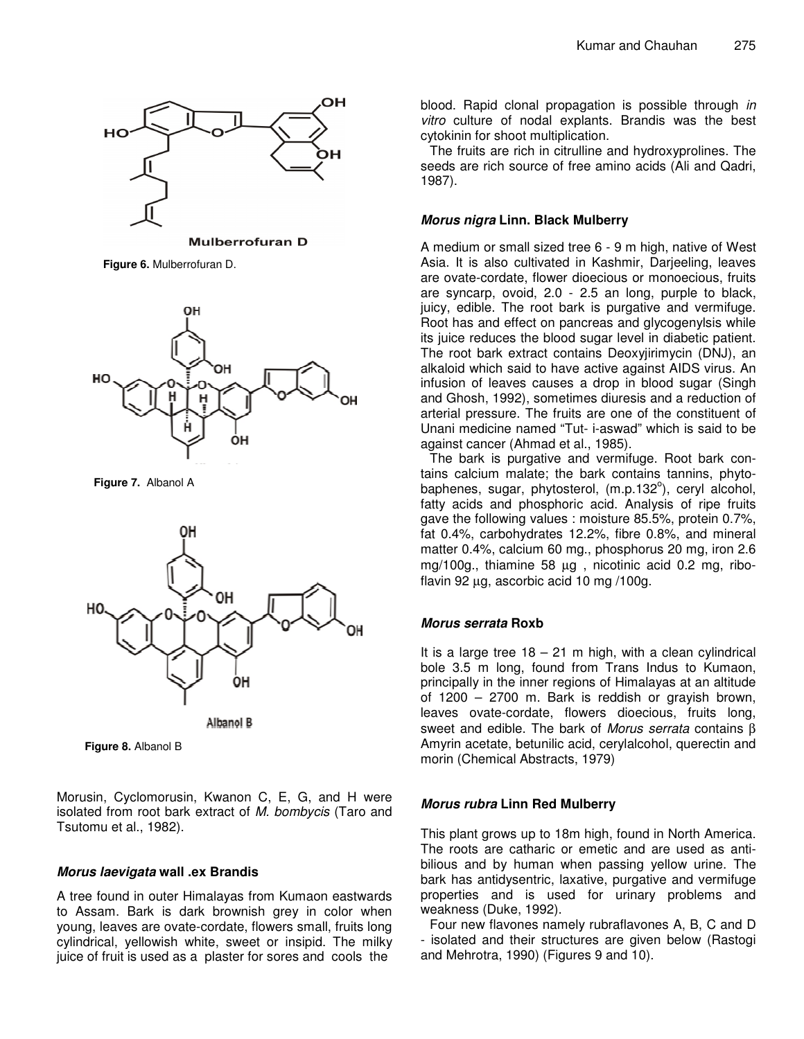

**Mulberrofuran D** 

**Figure 6.** Mulberrofuran D.



**Figure 7.** Albanol A



**Albanol B** 

**Figure 8.** Albanol B

Morusin, Cyclomorusin, Kwanon C, E, G, and H were isolated from root bark extract of *M. bombycis* (Taro and Tsutomu et al., 1982).

## *Morus laevigata* **wall .ex Brandis**

A tree found in outer Himalayas from Kumaon eastwards to Assam. Bark is dark brownish grey in color when young, leaves are ovate-cordate, flowers small, fruits long cylindrical, yellowish white, sweet or insipid. The milky juice of fruit is used as a plaster for sores and cools the

blood. Rapid clonal propagation is possible through *in vitro* culture of nodal explants. Brandis was the best cytokinin for shoot multiplication.

The fruits are rich in citrulline and hydroxyprolines. The seeds are rich source of free amino acids (Ali and Qadri, 1987).

## *Morus nigra* **Linn. Black Mulberry**

A medium or small sized tree 6 - 9 m high, native of West Asia. It is also cultivated in Kashmir, Darjeeling, leaves are ovate-cordate, flower dioecious or monoecious, fruits are syncarp, ovoid, 2.0 - 2.5 an long, purple to black, juicy, edible. The root bark is purgative and vermifuge. Root has and effect on pancreas and glycogenylsis while its juice reduces the blood sugar level in diabetic patient. The root bark extract contains Deoxyjirimycin (DNJ), an alkaloid which said to have active against AIDS virus. An infusion of leaves causes a drop in blood sugar (Singh and Ghosh, 1992), sometimes diuresis and a reduction of arterial pressure. The fruits are one of the constituent of Unani medicine named "Tut- i-aswad" which is said to be against cancer (Ahmad et al., 1985).

The bark is purgative and vermifuge. Root bark contains calcium malate; the bark contains tannins, phytobaphenes, sugar, phytosterol, (m.p.132°), ceryl alcohol, fatty acids and phosphoric acid. Analysis of ripe fruits gave the following values : moisture 85.5%, protein 0.7%, fat 0.4%, carbohydrates 12.2%, fibre 0.8%, and mineral matter 0.4%, calcium 60 mg., phosphorus 20 mg, iron 2.6 mg/100g., thiamine 58 µg , nicotinic acid 0.2 mg, riboflavin 92 µg, ascorbic acid 10 mg /100g.

# *Morus serrata* **Roxb**

It is a large tree  $18 - 21$  m high, with a clean cylindrical bole 3.5 m long, found from Trans Indus to Kumaon, principally in the inner regions of Himalayas at an altitude of 1200 – 2700 m. Bark is reddish or grayish brown, leaves ovate-cordate, flowers dioecious, fruits long, sweet and edible. The bark of *Morus serrata* contains β Amyrin acetate, betunilic acid, cerylalcohol, querectin and morin (Chemical Abstracts, 1979)

# *Morus rubra* **Linn Red Mulberry**

This plant grows up to 18m high, found in North America. The roots are catharic or emetic and are used as antibilious and by human when passing yellow urine. The bark has antidysentric, laxative, purgative and vermifuge properties and is used for urinary problems and weakness (Duke, 1992).

Four new flavones namely rubraflavones A, B, C and D - isolated and their structures are given below (Rastogi and Mehrotra, 1990) (Figures 9 and 10).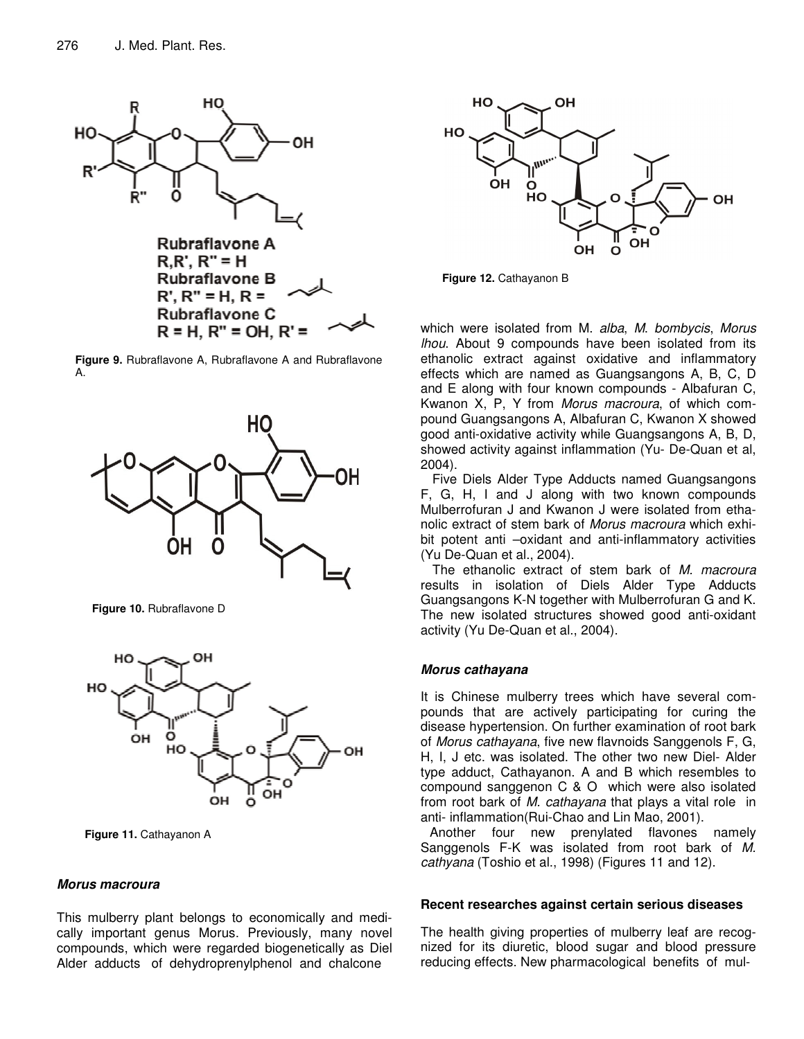

**Figure 9.** Rubraflavone A, Rubraflavone A and Rubraflavone A.



**Figure 10.** Rubraflavone D



**Figure 11.** Cathayanon A

#### *Morus macroura*

This mulberry plant belongs to economically and medically important genus Morus. Previously, many novel compounds, which were regarded biogenetically as Diel Alder adducts of dehydroprenylphenol and chalcone



**Figure 12.** Cathayanon B

which were isolated from M. *alba*, *M*. *bombycis*, *Morus lhou*. About 9 compounds have been isolated from its ethanolic extract against oxidative and inflammatory effects which are named as Guangsangons A, B, C, D and E along with four known compounds - Albafuran C, Kwanon X, P, Y from *Morus macroura*, of which compound Guangsangons A, Albafuran C, Kwanon X showed good anti-oxidative activity while Guangsangons A, B, D, showed activity against inflammation (Yu- De-Quan et al, 2004).

Five Diels Alder Type Adducts named Guangsangons F, G, H, I and J along with two known compounds Mulberrofuran J and Kwanon J were isolated from ethanolic extract of stem bark of *Morus macroura* which exhibit potent anti –oxidant and anti-inflammatory activities (Yu De-Quan et al., 2004).

The ethanolic extract of stem bark of *M. macroura* results in isolation of Diels Alder Type Adducts Guangsangons K-N together with Mulberrofuran G and K. The new isolated structures showed good anti-oxidant activity (Yu De-Quan et al., 2004).

## *Morus cathayana*

It is Chinese mulberry trees which have several compounds that are actively participating for curing the disease hypertension. On further examination of root bark of *Morus cathayana*, five new flavnoids Sanggenols F, G, H, I, J etc. was isolated. The other two new Diel- Alder type adduct, Cathayanon. A and B which resembles to compound sanggenon C & O which were also isolated from root bark of *M. cathayana* that plays a vital role in anti- inflammation(Rui-Chao and Lin Mao, 2001).

Another four new prenylated flavones namely Sanggenols F-K was isolated from root bark of *M. cathyana* (Toshio et al., 1998) (Figures 11 and 12).

#### **Recent researches against certain serious diseases**

The health giving properties of mulberry leaf are recognized for its diuretic, blood sugar and blood pressure reducing effects. New pharmacological benefits of mul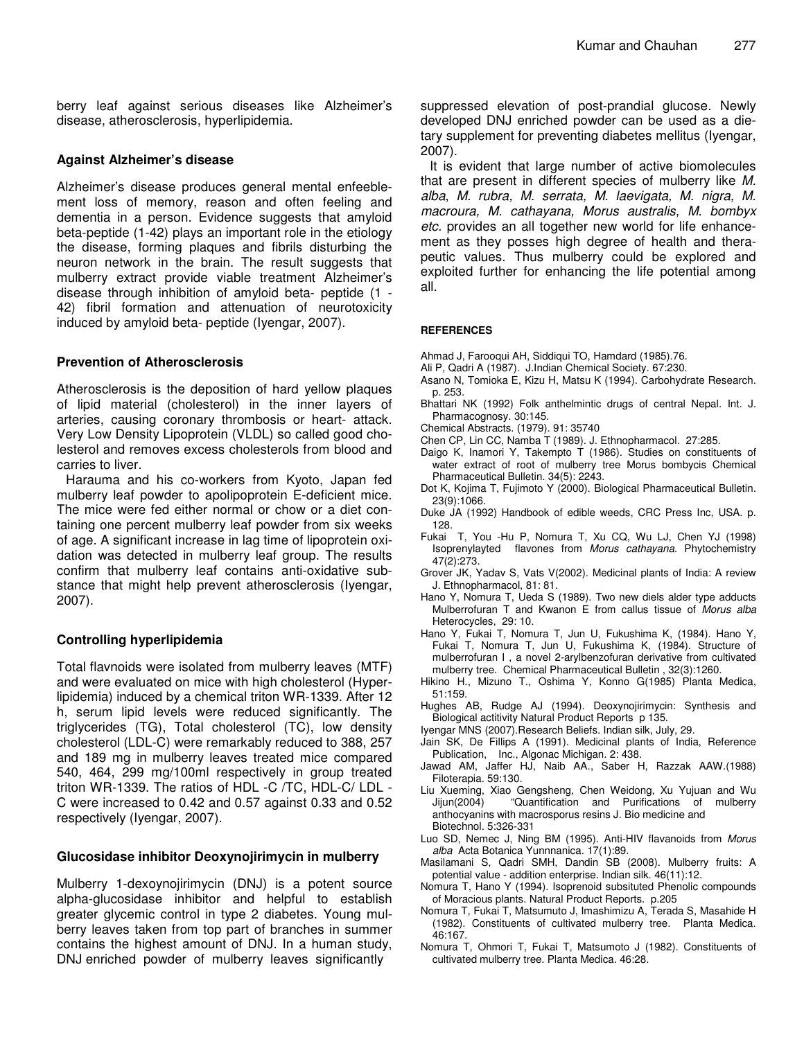berry leaf against serious diseases like Alzheimer's disease, atherosclerosis, hyperlipidemia.

#### **Against Alzheimer's disease**

Alzheimer's disease produces general mental enfeeblement loss of memory, reason and often feeling and dementia in a person. Evidence suggests that amyloid beta-peptide (1-42) plays an important role in the etiology the disease, forming plaques and fibrils disturbing the neuron network in the brain. The result suggests that mulberry extract provide viable treatment Alzheimer's disease through inhibition of amyloid beta- peptide (1 - 42) fibril formation and attenuation of neurotoxicity induced by amyloid beta- peptide (Iyengar, 2007).

#### **Prevention of Atherosclerosis**

Atherosclerosis is the deposition of hard yellow plaques of lipid material (cholesterol) in the inner layers of arteries, causing coronary thrombosis or heart- attack. Very Low Density Lipoprotein (VLDL) so called good cholesterol and removes excess cholesterols from blood and carries to liver.

Harauma and his co-workers from Kyoto, Japan fed mulberry leaf powder to apolipoprotein E-deficient mice. The mice were fed either normal or chow or a diet containing one percent mulberry leaf powder from six weeks of age. A significant increase in lag time of lipoprotein oxidation was detected in mulberry leaf group. The results confirm that mulberry leaf contains anti-oxidative substance that might help prevent atherosclerosis (Iyengar, 2007).

## **Controlling hyperlipidemia**

Total flavnoids were isolated from mulberry leaves (MTF) and were evaluated on mice with high cholesterol (Hyperlipidemia) induced by a chemical triton WR-1339. After 12 h, serum lipid levels were reduced significantly. The triglycerides (TG), Total cholesterol (TC), low density cholesterol (LDL-C) were remarkably reduced to 388, 257 and 189 mg in mulberry leaves treated mice compared 540, 464, 299 mg/100ml respectively in group treated triton WR-1339. The ratios of HDL -C /TC, HDL-C/ LDL - C were increased to 0.42 and 0.57 against 0.33 and 0.52 respectively (Iyengar, 2007).

## **Glucosidase inhibitor Deoxynojirimycin in mulberry**

Mulberry 1-dexoynojirimycin (DNJ) is a potent source alpha-glucosidase inhibitor and helpful to establish greater glycemic control in type 2 diabetes. Young mulberry leaves taken from top part of branches in summer contains the highest amount of DNJ. In a human study, DNJ enriched powder of mulberry leaves significantly

suppressed elevation of post-prandial glucose. Newly developed DNJ enriched powder can be used as a dietary supplement for preventing diabetes mellitus (Iyengar, 2007).

It is evident that large number of active biomolecules that are present in different species of mulberry like *M. alba*, *M. rubra, M. serrata, M. laevigata, M. nigra, M. macroura, M. cathayana, Morus australis, M. bombyx etc.* provides an all together new world for life enhancement as they posses high degree of health and therapeutic values. Thus mulberry could be explored and exploited further for enhancing the life potential among all.

#### **REFERENCES**

- Ahmad J, Farooqui AH, Siddiqui TO, Hamdard (1985).76.
- Ali P, Qadri A (1987). J.Indian Chemical Society. 67:230.
- Asano N, Tomioka E, Kizu H, Matsu K (1994). Carbohydrate Research. p. 253.
- Bhattari NK (1992) Folk anthelmintic drugs of central Nepal. Int. J. Pharmacognosy. 30:145.
- Chemical Abstracts. (1979). 91: 35740
- Chen CP, Lin CC, Namba T (1989). J. Ethnopharmacol. 27:285.
- Daigo K, Inamori Y, Takempto T (1986). Studies on constituents of water extract of root of mulberry tree Morus bombycis Chemical Pharmaceutical Bulletin. 34(5): 2243.
- Dot K, Kojima T, Fujimoto Y (2000). Biological Pharmaceutical Bulletin. 23(9):1066.
- Duke JA (1992) Handbook of edible weeds, CRC Press Inc, USA. p. 128.
- Fukai T, You -Hu P, Nomura T, Xu CQ, Wu LJ, Chen YJ (1998) Isoprenylayted flavones from *Morus cathayana.* Phytochemistry 47(2):273.
- Grover JK, Yadav S, Vats V(2002). Medicinal plants of India: A review J. Ethnopharmacol, 81: 81.
- Hano Y, Nomura T, Ueda S (1989). Two new diels alder type adducts Mulberrofuran T and Kwanon E from callus tissue of *Morus alba* Heterocycles, 29: 10.
- Hano Y, Fukai T, Nomura T, Jun U, Fukushima K, (1984). Hano Y, Fukai T, Nomura T, Jun U, Fukushima K, (1984). Structure of mulberrofuran I , a novel 2-arylbenzofuran derivative from cultivated mulberry tree. Chemical Pharmaceutical Bulletin , 32(3):1260.
- Hikino H., Mizuno T., Oshima Y, Konno G(1985) Planta Medica, 51:159.
- Hughes AB, Rudge AJ (1994). Deoxynojirimycin: Synthesis and Biological actitivity Natural Product Reports p 135.
- Iyengar MNS (2007).Research Beliefs. Indian silk, July, 29.
- Jain SK, De Fillips A (1991). Medicinal plants of India, Reference Publication, Inc., Algonac Michigan. 2: 438.
- Jawad AM, Jaffer HJ, Naib AA., Saber H, Razzak AAW.(1988) Filoterapia. 59:130.
- Liu Xueming, Xiao Gengsheng, Chen Weidong, Xu Yujuan and Wu Jijun(2004) "Quantification and Purifications of mulberry anthocyanins with macrosporus resins J. Bio medicine and Biotechnol. 5:326-331
- Luo SD, Nemec J, Ning BM (1995). Anti-HIV flavanoids from *Morus alba* Acta Botanica Yunnnanica. 17(1):89.
- Masilamani S, Qadri SMH, Dandin SB (2008). Mulberry fruits: A potential value - addition enterprise. Indian silk. 46(11):12.
- Nomura T, Hano Y (1994). Isoprenoid subsituted Phenolic compounds of Moracious plants. Natural Product Reports. p.205
- Nomura T, Fukai T, Matsumuto J, Imashimizu A, Terada S, Masahide H (1982). Constituents of cultivated mulberry tree. Planta Medica. 46:167.
- Nomura T, Ohmori T, Fukai T, Matsumoto J (1982). Constituents of cultivated mulberry tree. Planta Medica. 46:28.